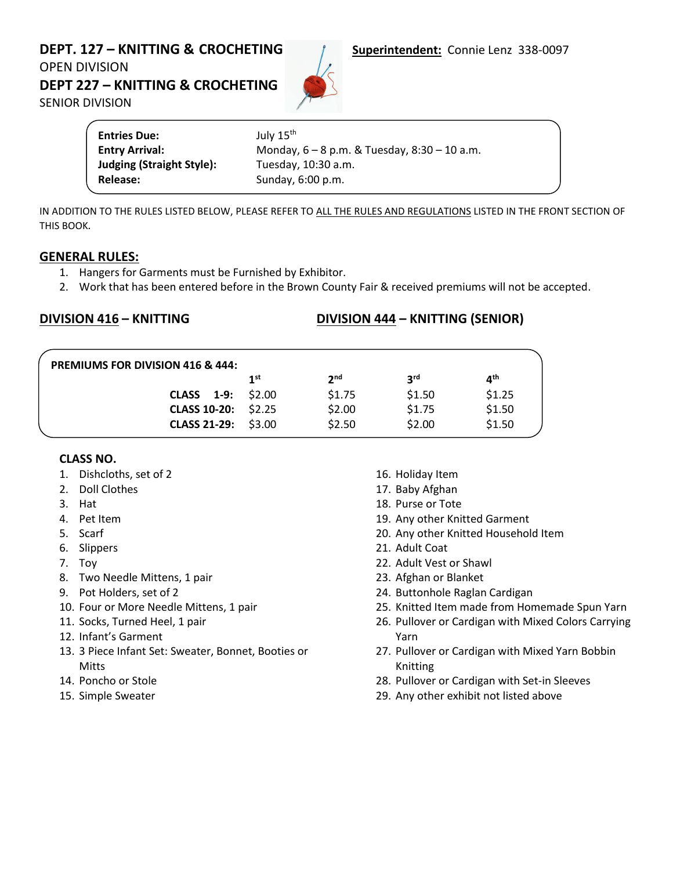# **DEPT. 127 – KNITTING & CROCHETING**<br> **Superintendent:** Connie Lenz 338-0097 OPEN DIVISION

**DEPT 227 – KNITTING & CROCHETING** 

SENIOR DIVISION



| <b>Entries Due:</b>              | July 15 <sup>th</sup>                            |
|----------------------------------|--------------------------------------------------|
| <b>Entry Arrival:</b>            | Monday, $6 - 8$ p.m. & Tuesday, $8:30 - 10$ a.m. |
| <b>Judging (Straight Style):</b> | Tuesday, 10:30 a.m.                              |
| Release:                         | Sunday, 6:00 p.m.                                |

IN ADDITION TO THE RULES LISTED BELOW, PLEASE REFER TO ALL THE RULES AND REGULATIONS LISTED IN THE FRONT SECTION OF THIS BOOK*.*

### **GENERAL RULES:**

- 1. Hangers for Garments must be Furnished by Exhibitor.
- 2. Work that has been entered before in the Brown County Fair & received premiums will not be accepted.

### **DIVISION 416 – KNITTING DIVISION 444 – KNITTING (SENIOR)**

|                             | 1st | 2 <sub>nd</sub> | <b>2rd</b> | ⊿th    |
|-----------------------------|-----|-----------------|------------|--------|
| <b>CLASS</b> $1-9$ : \$2.00 |     | \$1.75          | \$1.50     | \$1.25 |
| CLASS 10-20: \$2.25         |     | \$2.00          | \$1.75     | \$1.50 |
| CLASS 21-29: \$3.00         |     | \$2.50          | \$2.00     | \$1.50 |

### **CLASS NO.**

- 1. Dishcloths, set of 2
- 2. Doll Clothes
- 3. Hat
- 4. Pet Item
- 5. Scarf
- 6. Slippers
- 7. Toy
- 8. Two Needle Mittens, 1 pair
- 9. Pot Holders, set of 2
- 10. Four or More Needle Mittens, 1 pair
- 11. Socks, Turned Heel, 1 pair
- 12. Infant's Garment
- 13. 3 Piece Infant Set: Sweater, Bonnet, Booties or **Mitts**
- 14. Poncho or Stole
- 15. Simple Sweater
- 16. Holiday Item
- 17. Baby Afghan
- 18. Purse or Tote
- 19. Any other Knitted Garment
- 20. Any other Knitted Household Item
- 21. Adult Coat
- 22. Adult Vest or Shawl
- 23. Afghan or Blanket
- 24. Buttonhole Raglan Cardigan
- 25. Knitted Item made from Homemade Spun Yarn
- 26. Pullover or Cardigan with Mixed Colors Carrying Yarn
- 27. Pullover or Cardigan with Mixed Yarn Bobbin Knitting
- 28. Pullover or Cardigan with Set-in Sleeves
- 29. Any other exhibit not listed above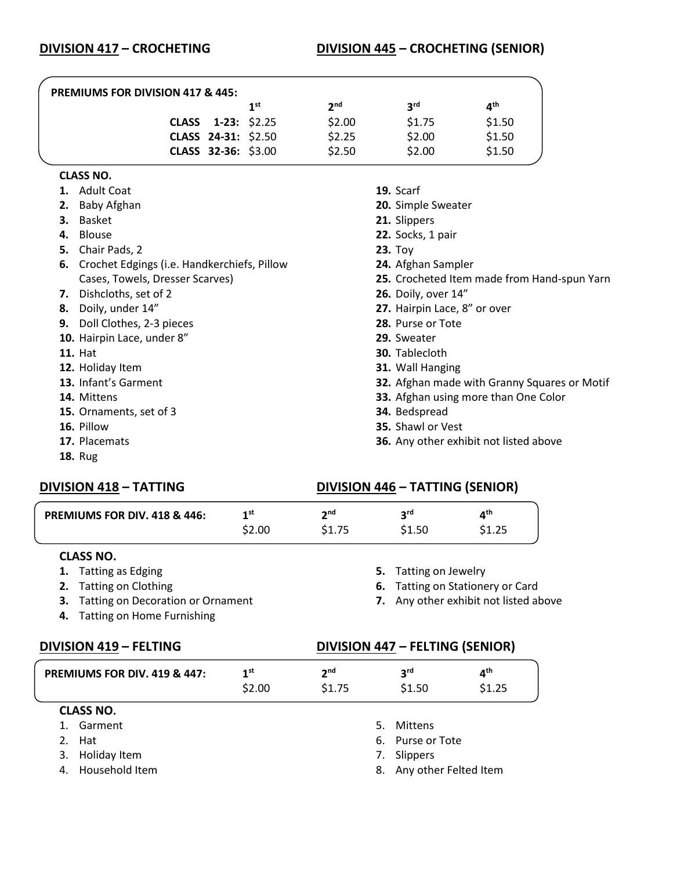## **DIVISION 417 – CROCHETING DIVISION 445 – CROCHETING (SENIOR)**

| <b>PREMIUMS FOR DIVISION 417 &amp; 445:</b> |     |                                                                  |            |                 |  |  |
|---------------------------------------------|-----|------------------------------------------------------------------|------------|-----------------|--|--|
|                                             | 1st | 2 <sub>nd</sub>                                                  | <b>3rd</b> | 4 <sup>th</sup> |  |  |
|                                             |     | \$2.00                                                           | \$1.75     | \$1.50          |  |  |
|                                             |     | \$2.25                                                           | \$2.00     | \$1.50          |  |  |
|                                             |     | \$2.50                                                           | \$2.00     | \$1.50          |  |  |
|                                             |     | CLASS 1-23: \$2.25<br>CLASS 24-31: \$2.50<br>CLASS 32-36: \$3.00 |            |                 |  |  |

#### **CLASS NO.**

| 1. | <b>Adult Coat</b>                              | 19. Scarf                                     |
|----|------------------------------------------------|-----------------------------------------------|
| 2. | Baby Afghan                                    | 20. Simple Sweater                            |
| З. | Basket                                         | 21. Slippers                                  |
|    | 4. Blouse                                      | 22. Socks, 1 pair                             |
| 5. | Chair Pads, 2                                  | $23.$ Toy                                     |
|    | 6. Crochet Edgings (i.e. Handkerchiefs, Pillow | 24. Afghan Sampler                            |
|    | Cases, Towels, Dresser Scarves)                | 25. Crocheted Item made from Hand-spun Yarn   |
| 7. | Dishcloths, set of 2                           | <b>26.</b> Doily, over 14"                    |
| 8. | Doily, under 14"                               | 27. Hairpin Lace, 8" or over                  |
| 9. | Doll Clothes, 2-3 pieces                       | 28. Purse or Tote                             |
|    | 10. Hairpin Lace, under 8"                     | 29. Sweater                                   |
|    | <b>11. Hat</b>                                 | <b>30.</b> Tablecloth                         |
|    | 12. Holiday Item                               | 31. Wall Hanging                              |
|    | 13. Infant's Garment                           | 32. Afghan made with Granny Squares or Motif  |
|    | 14. Mittens                                    | 33. Afghan using more than One Color          |
|    | 15. Ornaments, set of 3                        | 34. Bedspread                                 |
|    | 16. Pillow                                     | <b>35.</b> Shawl or Vest                      |
|    | 17. Placemats                                  | <b>36.</b> Any other exhibit not listed above |
|    | <b>18. Rug</b>                                 |                                               |

## **DIVISION 418 – TATTING DIVISION 446 – TATTING (SENIOR)**

| <b>PREMIUMS FOR DIV. 418 &amp; 446:</b>                                  | 1 <sup>st</sup> | 2 <sup>nd</sup> | 3 <sup>rd</sup>                        | 4 <sup>th</sup>    |  |  |
|--------------------------------------------------------------------------|-----------------|-----------------|----------------------------------------|--------------------|--|--|
|                                                                          | \$2.00          | \$1.75          | \$1.50                                 | \$1.25             |  |  |
| <b>CLASS NO.</b>                                                         |                 |                 |                                        |                    |  |  |
| 1. Tatting as Edging                                                     |                 |                 | 5.                                     | Tatting on Jewelry |  |  |
| <b>Tatting on Clothing</b><br>2.                                         |                 | 6.              | Tatting on Stationery or Card          |                    |  |  |
| <b>Tatting on Decoration or Ornament</b><br>З.                           |                 |                 | 7. Any other exhibit not listed above  |                    |  |  |
|                                                                          |                 |                 |                                        |                    |  |  |
| <b>Tatting on Home Furnishing</b><br>4.                                  |                 |                 |                                        |                    |  |  |
|                                                                          |                 |                 | <b>DIVISION 447 - FELTING (SENIOR)</b> |                    |  |  |
| <b>DIVISION 419 - FELTING</b><br><b>PREMIUMS FOR DIV. 419 &amp; 447:</b> | 1 <sup>st</sup> | 2 <sup>nd</sup> | 3 <sup>rd</sup>                        | 4 <sup>th</sup>    |  |  |
|                                                                          | \$2.00          | \$1.75          | \$1.50                                 | \$1.25             |  |  |
| <b>CLASS NO.</b>                                                         |                 |                 |                                        |                    |  |  |
| Garment                                                                  |                 |                 | 5.<br>Mittens                          |                    |  |  |
| Hat<br>2.                                                                |                 |                 | Purse or Tote<br>6.                    |                    |  |  |

4. Household Item

8. Any other Felted Item